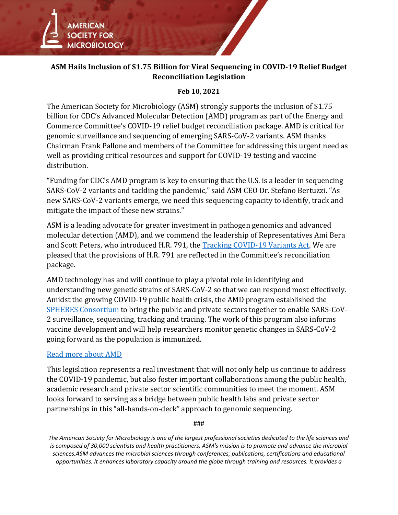

## **ASM Hails Inclusion of \$1.75 Billion for Viral Sequencing in COVID-19 Relief Budget Reconciliation Legislation**

## **Feb 10, 2021**

The American Society for Microbiology (ASM) strongly supports the inclusion of \$1.75 billion for CDC's Advanced Molecular Detection (AMD) program as part of the Energy and Commerce Committee's COVID-19 relief budget reconciliation package. AMD is critical for genomic surveillance and sequencing of emerging SARS-CoV-2 variants. ASM thanks Chairman Frank Pallone and members of the Committee for addressing this urgent need as well as providing critical resources and support for COVID-19 testing and vaccine distribution.

"Funding for CDC's AMD program is key to ensuring that the U.S. is a leader in sequencing SARS-CoV-2 variants and tackling the pandemic," said ASM CEO Dr. Stefano Bertuzzi. "As new SARS-CoV-2 variants emerge, we need this sequencing capacity to identify, track and mitigate the impact of these new strains."

ASM is a leading advocate for greater investment in pathogen genomics and advanced molecular detection (AMD), and we commend the leadership of Representatives Ami Bera and Scott Peters, who introduced H.R. 791, the [Tracking COVID-19 Variants Act.](https://www.baldwin.senate.gov/press-releases/baldwin-tracking-coronavirus-variants-act-2021) We are pleased that the provisions of H.R. 791 are reflected in the Committee's reconciliation package.

AMD technology has and will continue to play a pivotal role in identifying and understanding new genetic strains of SARS-CoV-2 so that we can respond most effectively. Amidst the growing COVID-19 public health crisis, the AMD program established the [SPHERES Consortium](https://asm.org/Webinars/ASM-Hosts-COVID-19-Webinar-with-CDC) to bring the public and private sectors together to enable SARS-CoV-2 surveillance, sequencing, tracking and tracing. The work of this program also informs vaccine development and will help researchers monitor genetic changes in SARS-CoV-2 going forward as the population is immunized.

## [Read more about AMD](https://asm.org/ASM/media/Policy-and-Advocacy/ASM-PrecisionPublicHealth-1.pdf)

This legislation represents a real investment that will not only help us continue to address the COVID-19 pandemic, but also foster important collaborations among the public health, academic research and private sector scientific communities to meet the moment. ASM looks forward to serving as a bridge between public health labs and private sector partnerships in this "all-hands-on-deck" approach to genomic sequencing.

###

*The American Society for Microbiology is one of the largest professional societies dedicated to the life sciences and is composed of 30,000 scientists and health practitioners. ASM's mission is to promote and advance the microbial sciences.ASM advances the microbial sciences through conferences, publications, certifications and educational opportunities. It enhances laboratory capacity around the globe through training and resources. It provides a*